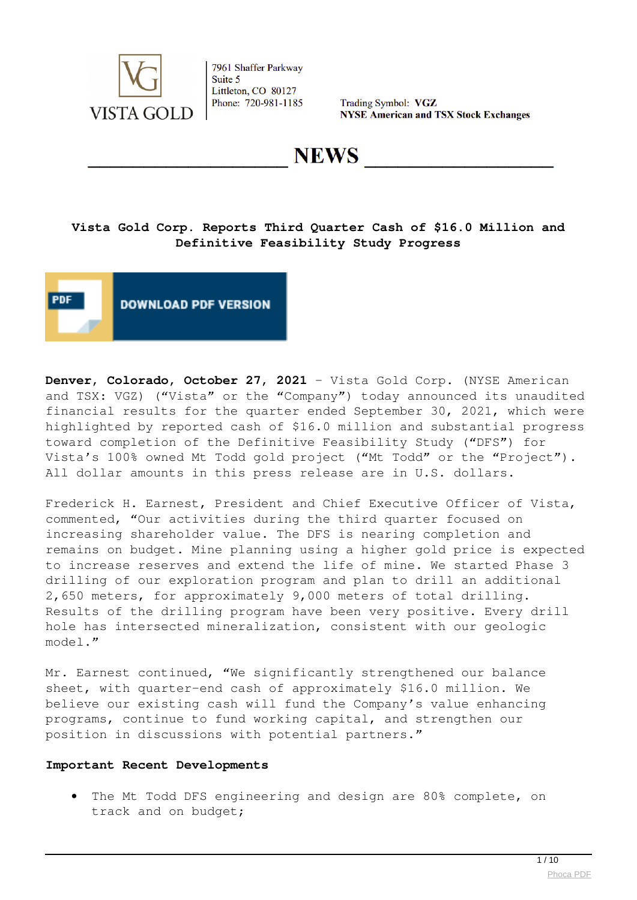

Trading Symbol: VGZ **NYSE American and TSX Stock Exchanges** 

**NEWS** 

## **Vista Gold Corp. Reports Third Quarter Cash of \$16.0 Million and Definitive Feasibility Study Progress**



**Denver, Colorado, October 27, 2021** – Vista Gold Corp. (NYSE American and TSX: VGZ) ("Vista" or the "Company") today announced its unaudited financial results for the quarter ended September 30, 2021, which were highlighted by reported cash of \$16.0 million and substantial progress toward completion of the Definitive Feasibility Study ("DFS") for Vista's 100% owned Mt Todd gold project ("Mt Todd" or the "Project"). All dollar amounts in this press release are in U.S. dollars.

Frederick H. Earnest, President and Chief Executive Officer of Vista, commented, "Our activities during the third quarter focused on increasing shareholder value. The DFS is nearing completion and remains on budget. Mine planning using a higher gold price is expected to increase reserves and extend the life of mine. We started Phase 3 drilling of our exploration program and plan to drill an additional 2,650 meters, for approximately 9,000 meters of total drilling. Results of the drilling program have been very positive. Every drill hole has intersected mineralization, consistent with our geologic model."

Mr. Earnest continued, "We significantly strengthened our balance sheet, with quarter-end cash of approximately \$16.0 million. We believe our existing cash will fund the Company's value enhancing programs, continue to fund working capital, and strengthen our position in discussions with potential partners."

### **Important Recent Developments**

The Mt Todd DFS engineering and design are 80% complete, on  $\bullet$ track and on budget;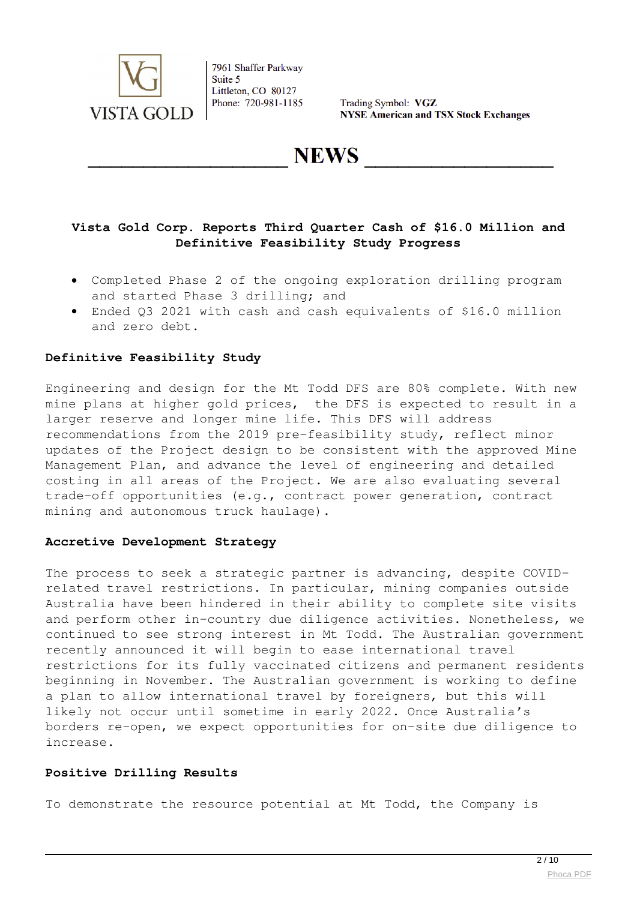

Trading Symbol: VGZ **NYSE American and TSX Stock Exchanges** 

**NEWS** 

## **Vista Gold Corp. Reports Third Quarter Cash of \$16.0 Million and Definitive Feasibility Study Progress**

- Completed Phase 2 of the ongoing exploration drilling program and started Phase 3 drilling; and
- Ended Q3 2021 with cash and cash equivalents of \$16.0 million and zero debt.

### **Definitive Feasibility Study**

Engineering and design for the Mt Todd DFS are 80% complete. With new mine plans at higher gold prices, the DFS is expected to result in a larger reserve and longer mine life. This DFS will address recommendations from the 2019 pre-feasibility study, reflect minor updates of the Project design to be consistent with the approved Mine Management Plan, and advance the level of engineering and detailed costing in all areas of the Project. We are also evaluating several trade-off opportunities (e.g., contract power generation, contract mining and autonomous truck haulage).

#### **Accretive Development Strategy**

The process to seek a strategic partner is advancing, despite COVIDrelated travel restrictions. In particular, mining companies outside Australia have been hindered in their ability to complete site visits and perform other in-country due diligence activities. Nonetheless, we continued to see strong interest in Mt Todd. The Australian government recently announced it will begin to ease international travel restrictions for its fully vaccinated citizens and permanent residents beginning in November. The Australian government is working to define a plan to allow international travel by foreigners, but this will likely not occur until sometime in early 2022. Once Australia's borders re-open, we expect opportunities for on-site due diligence to increase.

#### **Positive Drilling Results**

To demonstrate the resource potential at Mt Todd, the Company is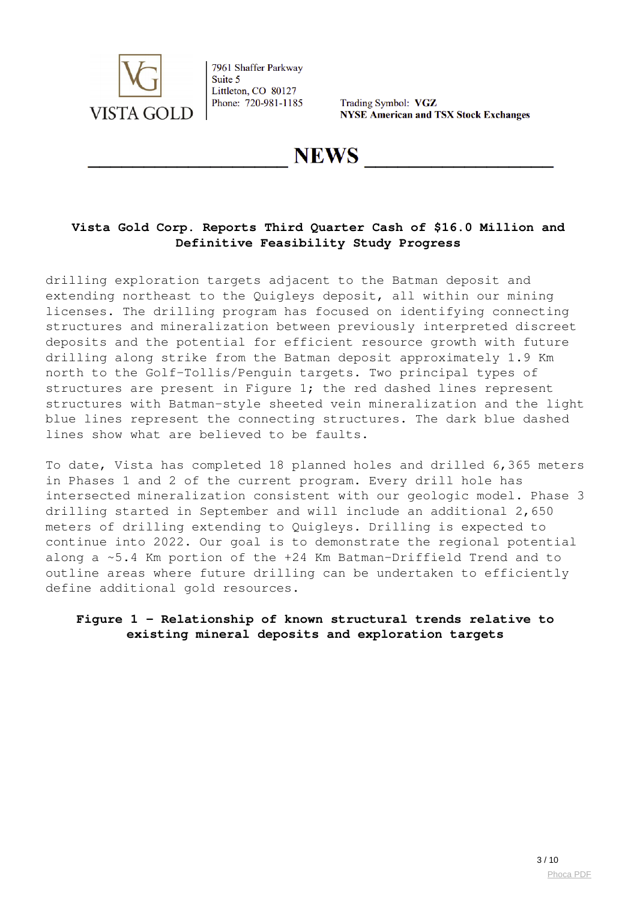

Trading Symbol: VGZ **NYSE American and TSX Stock Exchanges** 

## **NEWS**

## **Vista Gold Corp. Reports Third Quarter Cash of \$16.0 Million and Definitive Feasibility Study Progress**

drilling exploration targets adjacent to the Batman deposit and extending northeast to the Quigleys deposit, all within our mining licenses. The drilling program has focused on identifying connecting structures and mineralization between previously interpreted discreet deposits and the potential for efficient resource growth with future drilling along strike from the Batman deposit approximately 1.9 Km north to the Golf-Tollis/Penguin targets. Two principal types of structures are present in Figure 1; the red dashed lines represent structures with Batman-style sheeted vein mineralization and the light blue lines represent the connecting structures. The dark blue dashed lines show what are believed to be faults.

To date, Vista has completed 18 planned holes and drilled 6,365 meters in Phases 1 and 2 of the current program. Every drill hole has intersected mineralization consistent with our geologic model. Phase 3 drilling started in September and will include an additional 2,650 meters of drilling extending to Quigleys. Drilling is expected to continue into 2022. Our goal is to demonstrate the regional potential along a ~5.4 Km portion of the +24 Km Batman-Driffield Trend and to outline areas where future drilling can be undertaken to efficiently define additional gold resources.

## **Figure 1 – Relationship of known structural trends relative to existing mineral deposits and exploration targets**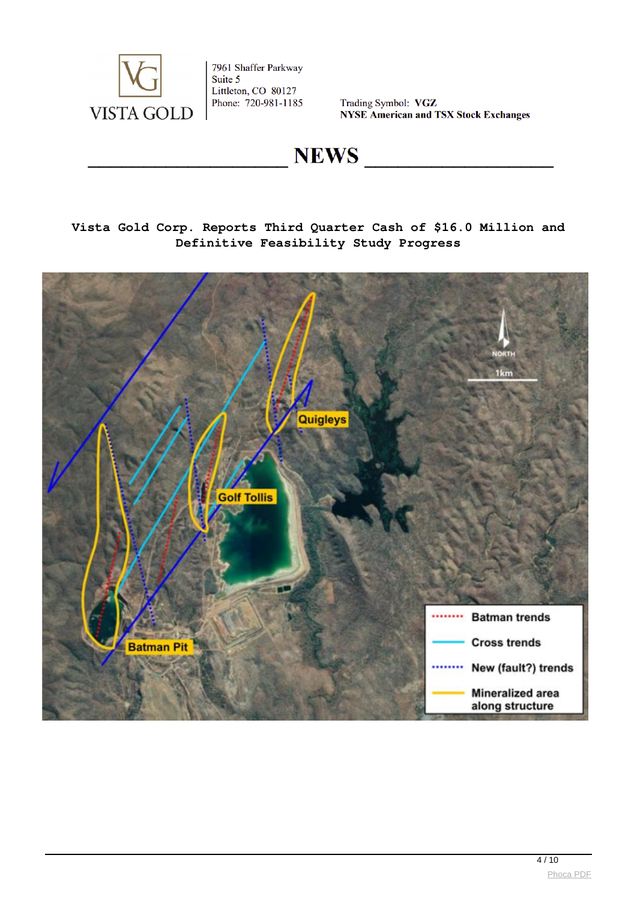

Trading Symbol: VGZ<br>NYSE American and TSX Stock Exchanges

**Vista Gold Corp. Reports Third Quarter Cash of \$16.0 Million and Definitive Feasibility Study Progress**

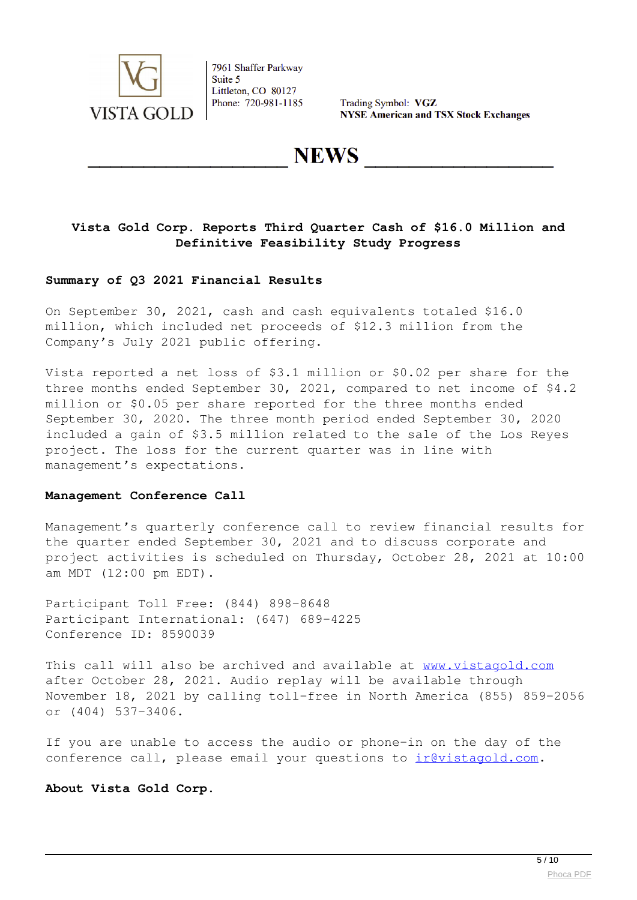

Trading Symbol: VGZ **NYSE American and TSX Stock Exchanges** 

**NEWS** 

## **Vista Gold Corp. Reports Third Quarter Cash of \$16.0 Million and Definitive Feasibility Study Progress**

#### **Summary of Q3 2021 Financial Results**

On September 30, 2021, cash and cash equivalents totaled \$16.0 million, which included net proceeds of \$12.3 million from the Company's July 2021 public offering.

Vista reported a net loss of \$3.1 million or \$0.02 per share for the three months ended September 30, 2021, compared to net income of \$4.2 million or \$0.05 per share reported for the three months ended September 30, 2020. The three month period ended September 30, 2020 included a gain of \$3.5 million related to the sale of the Los Reyes project. The loss for the current quarter was in line with management's expectations.

#### **Management Conference Call**

Management's quarterly conference call to review financial results for the quarter ended September 30, 2021 and to discuss corporate and project activities is scheduled on Thursday, October 28, 2021 at 10:00 am MDT (12:00 pm EDT).

Participant Toll Free: (844) 898-8648 Participant International: (647) 689-4225 Conference ID: 8590039

This call will also be archived and available at [www.vistagold.com](http://www.vistagold.com) after October 28, 2021. Audio replay will be available through November 18, 2021 by calling toll-free in North America (855) 859-2056 or (404) 537-3406.

If you are unable to access the audio or phone-in on the day of the conference call, please email your questions to [ir@vistagold.com](mailto:ir@vistagold.com).

#### **About Vista Gold Corp.**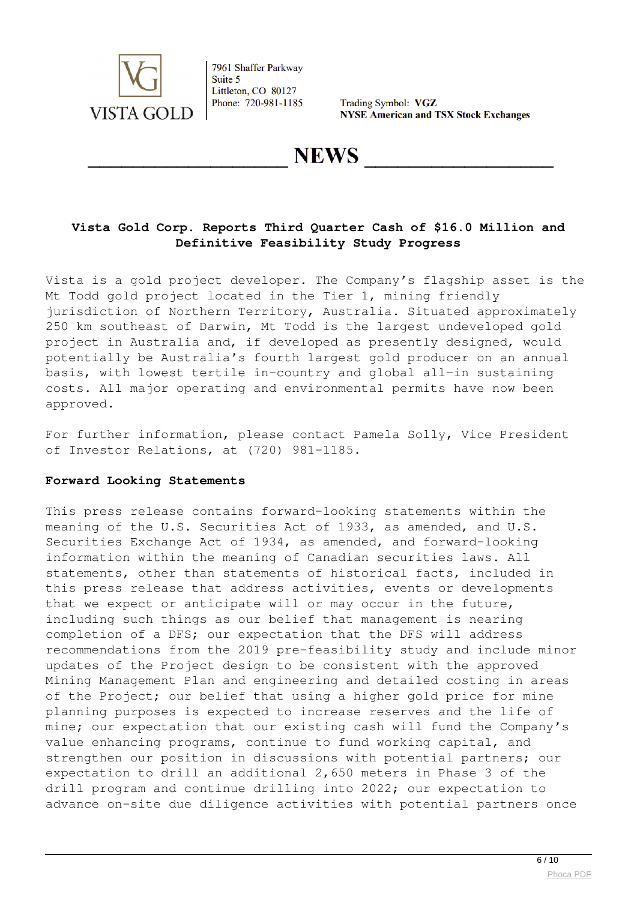

Trading Symbol: VGZ **NYSE American and TSX Stock Exchanges** 

**NEWS** 

## **Vista Gold Corp. Reports Third Quarter Cash of \$16.0 Million and Definitive Feasibility Study Progress**

Vista is a gold project developer. The Company's flagship asset is the Mt Todd gold project located in the Tier 1, mining friendly jurisdiction of Northern Territory, Australia. Situated approximately 250 km southeast of Darwin, Mt Todd is the largest undeveloped gold project in Australia and, if developed as presently designed, would potentially be Australia's fourth largest gold producer on an annual basis, with lowest tertile in-country and global all-in sustaining costs. All major operating and environmental permits have now been approved.

For further information, please contact Pamela Solly, Vice President of Investor Relations, at (720) 981-1185.

#### **Forward Looking Statements**

This press release contains forward-looking statements within the meaning of the U.S. Securities Act of 1933, as amended, and U.S. Securities Exchange Act of 1934, as amended, and forward-looking information within the meaning of Canadian securities laws. All statements, other than statements of historical facts, included in this press release that address activities, events or developments that we expect or anticipate will or may occur in the future, including such things as our belief that management is nearing completion of a DFS; our expectation that the DFS will address recommendations from the 2019 pre-feasibility study and include minor updates of the Project design to be consistent with the approved Mining Management Plan and engineering and detailed costing in areas of the Project; our belief that using a higher gold price for mine planning purposes is expected to increase reserves and the life of mine; our expectation that our existing cash will fund the Company's value enhancing programs, continue to fund working capital, and strengthen our position in discussions with potential partners; our expectation to drill an additional 2,650 meters in Phase 3 of the drill program and continue drilling into 2022; our expectation to advance on-site due diligence activities with potential partners once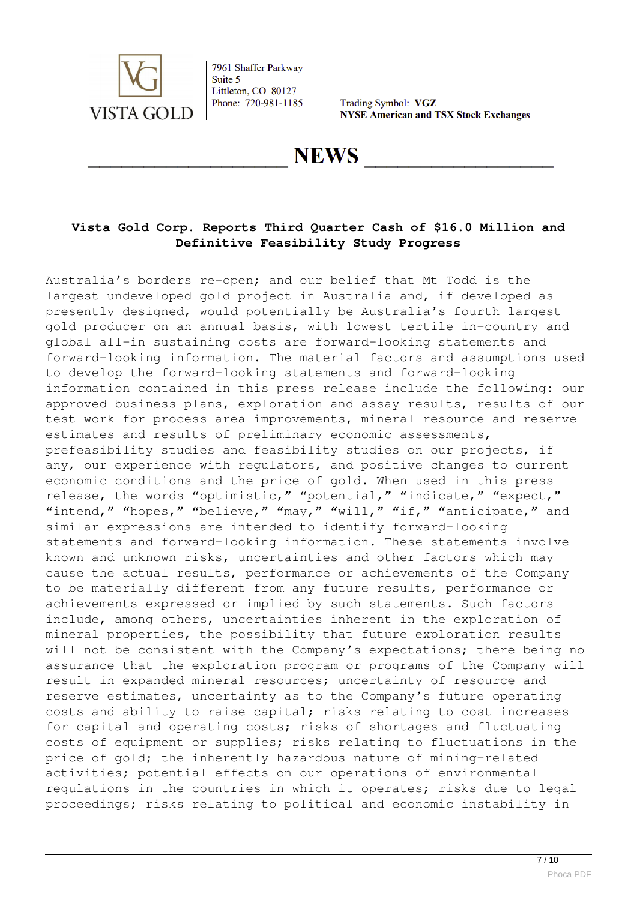

Trading Symbol: VGZ **NYSE American and TSX Stock Exchanges** 

**NEWS** 

## **Vista Gold Corp. Reports Third Quarter Cash of \$16.0 Million and Definitive Feasibility Study Progress**

Australia's borders re-open; and our belief that Mt Todd is the largest undeveloped gold project in Australia and, if developed as presently designed, would potentially be Australia's fourth largest gold producer on an annual basis, with lowest tertile in-country and global all-in sustaining costs are forward-looking statements and forward-looking information. The material factors and assumptions used to develop the forward-looking statements and forward-looking information contained in this press release include the following: our approved business plans, exploration and assay results, results of our test work for process area improvements, mineral resource and reserve estimates and results of preliminary economic assessments, prefeasibility studies and feasibility studies on our projects, if any, our experience with regulators, and positive changes to current economic conditions and the price of gold. When used in this press release, the words "optimistic," "potential," "indicate," "expect," "intend," "hopes," "believe," "may," "will," "if," "anticipate," and similar expressions are intended to identify forward-looking statements and forward-looking information. These statements involve known and unknown risks, uncertainties and other factors which may cause the actual results, performance or achievements of the Company to be materially different from any future results, performance or achievements expressed or implied by such statements. Such factors include, among others, uncertainties inherent in the exploration of mineral properties, the possibility that future exploration results will not be consistent with the Company's expectations; there being no assurance that the exploration program or programs of the Company will result in expanded mineral resources; uncertainty of resource and reserve estimates, uncertainty as to the Company's future operating costs and ability to raise capital; risks relating to cost increases for capital and operating costs; risks of shortages and fluctuating costs of equipment or supplies; risks relating to fluctuations in the price of gold; the inherently hazardous nature of mining-related activities; potential effects on our operations of environmental regulations in the countries in which it operates; risks due to legal proceedings; risks relating to political and economic instability in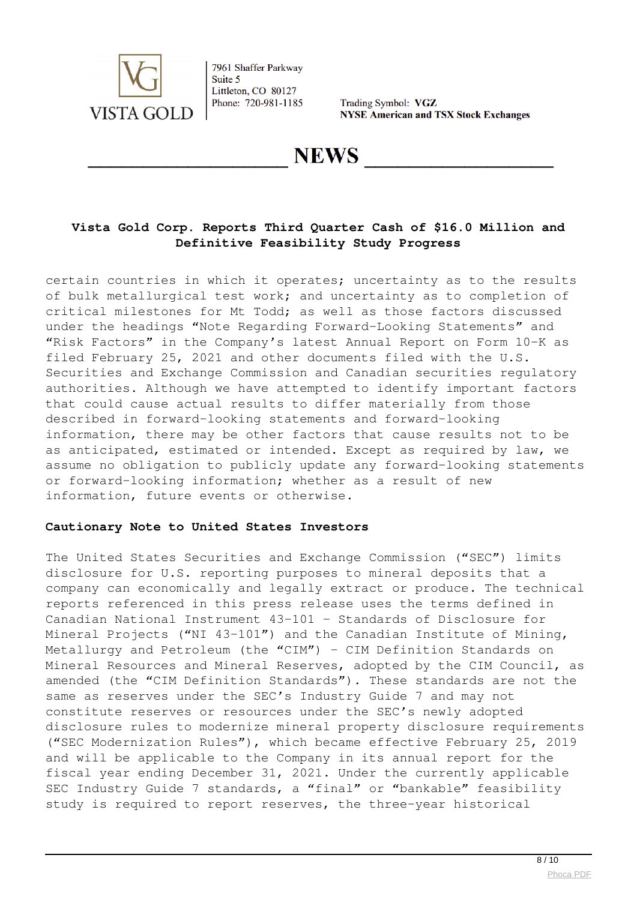

Trading Symbol: VGZ **NYSE American and TSX Stock Exchanges** 

## **NEWS**

## **Vista Gold Corp. Reports Third Quarter Cash of \$16.0 Million and Definitive Feasibility Study Progress**

certain countries in which it operates; uncertainty as to the results of bulk metallurgical test work; and uncertainty as to completion of critical milestones for Mt Todd; as well as those factors discussed under the headings "Note Regarding Forward-Looking Statements" and "Risk Factors" in the Company's latest Annual Report on Form 10-K as filed February 25, 2021 and other documents filed with the U.S. Securities and Exchange Commission and Canadian securities regulatory authorities. Although we have attempted to identify important factors that could cause actual results to differ materially from those described in forward-looking statements and forward-looking information, there may be other factors that cause results not to be as anticipated, estimated or intended. Except as required by law, we assume no obligation to publicly update any forward-looking statements or forward-looking information; whether as a result of new information, future events or otherwise.

#### **Cautionary Note to United States Investors**

The United States Securities and Exchange Commission ("SEC") limits disclosure for U.S. reporting purposes to mineral deposits that a company can economically and legally extract or produce. The technical reports referenced in this press release uses the terms defined in Canadian National Instrument 43-101 – Standards of Disclosure for Mineral Projects ("NI 43-101") and the Canadian Institute of Mining, Metallurgy and Petroleum (the "CIM") – CIM Definition Standards on Mineral Resources and Mineral Reserves, adopted by the CIM Council, as amended (the "CIM Definition Standards"). These standards are not the same as reserves under the SEC's Industry Guide 7 and may not constitute reserves or resources under the SEC's newly adopted disclosure rules to modernize mineral property disclosure requirements ("SEC Modernization Rules"), which became effective February 25, 2019 and will be applicable to the Company in its annual report for the fiscal year ending December 31, 2021. Under the currently applicable SEC Industry Guide 7 standards, a "final" or "bankable" feasibility study is required to report reserves, the three-year historical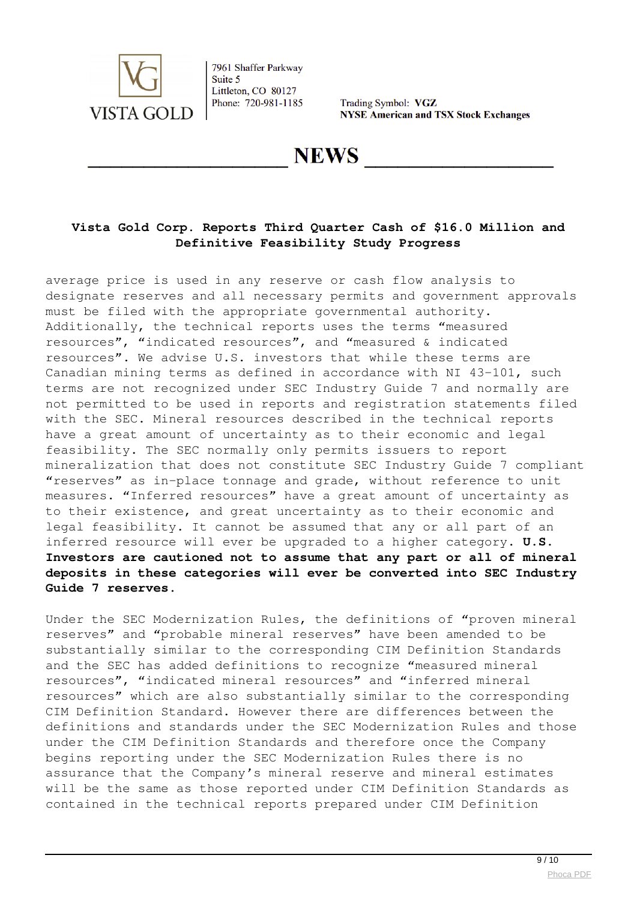

Trading Symbol: VGZ **NYSE American and TSX Stock Exchanges** 

**NEWS** 

## **Vista Gold Corp. Reports Third Quarter Cash of \$16.0 Million and Definitive Feasibility Study Progress**

average price is used in any reserve or cash flow analysis to designate reserves and all necessary permits and government approvals must be filed with the appropriate governmental authority. Additionally, the technical reports uses the terms "measured resources", "indicated resources", and "measured & indicated resources". We advise U.S. investors that while these terms are Canadian mining terms as defined in accordance with NI 43-101, such terms are not recognized under SEC Industry Guide 7 and normally are not permitted to be used in reports and registration statements filed with the SEC. Mineral resources described in the technical reports have a great amount of uncertainty as to their economic and legal feasibility. The SEC normally only permits issuers to report mineralization that does not constitute SEC Industry Guide 7 compliant "reserves" as in-place tonnage and grade, without reference to unit measures. "Inferred resources" have a great amount of uncertainty as to their existence, and great uncertainty as to their economic and legal feasibility. It cannot be assumed that any or all part of an inferred resource will ever be upgraded to a higher category. **U.S. Investors are cautioned not to assume that any part or all of mineral deposits in these categories will ever be converted into SEC Industry Guide 7 reserves.**

Under the SEC Modernization Rules, the definitions of "proven mineral reserves" and "probable mineral reserves" have been amended to be substantially similar to the corresponding CIM Definition Standards and the SEC has added definitions to recognize "measured mineral resources", "indicated mineral resources" and "inferred mineral resources" which are also substantially similar to the corresponding CIM Definition Standard. However there are differences between the definitions and standards under the SEC Modernization Rules and those under the CIM Definition Standards and therefore once the Company begins reporting under the SEC Modernization Rules there is no assurance that the Company's mineral reserve and mineral estimates will be the same as those reported under CIM Definition Standards as contained in the technical reports prepared under CIM Definition